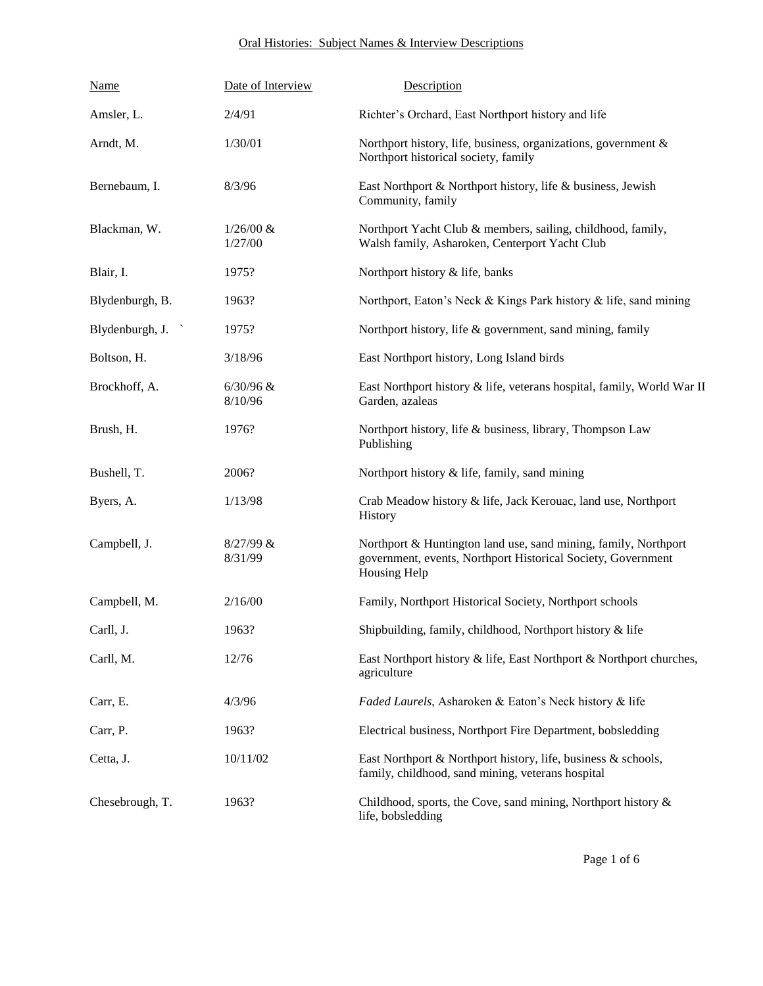## Oral Histories: Subject Names & Interview Descriptions

| <b>Name</b>                                 | Date of Interview       | Description                                                                                                                                            |
|---------------------------------------------|-------------------------|--------------------------------------------------------------------------------------------------------------------------------------------------------|
| Amsler, L.                                  | 2/4/91                  | Richter's Orchard, East Northport history and life                                                                                                     |
| Arndt, M.                                   | 1/30/01                 | Northport history, life, business, organizations, government &<br>Northport historical society, family                                                 |
| Bernebaum, I.                               | 8/3/96                  | East Northport & Northport history, life & business, Jewish<br>Community, family                                                                       |
| Blackman, W.                                | $1/26/00 \&$<br>1/27/00 | Northport Yacht Club & members, sailing, childhood, family,<br>Walsh family, Asharoken, Centerport Yacht Club                                          |
| Blair, I.                                   | 1975?                   | Northport history & life, banks                                                                                                                        |
| Blydenburgh, B.                             | 1963?                   | Northport, Eaton's Neck & Kings Park history & life, sand mining                                                                                       |
| Blydenburgh, J.<br>$\overline{\phantom{a}}$ | 1975?                   | Northport history, life & government, sand mining, family                                                                                              |
| Boltson, H.                                 | 3/18/96                 | East Northport history, Long Island birds                                                                                                              |
| Brockhoff, A.                               | $6/30/96$ &<br>8/10/96  | East Northport history & life, veterans hospital, family, World War II<br>Garden, azaleas                                                              |
| Brush, H.                                   | 1976?                   | Northport history, life & business, library, Thompson Law<br>Publishing                                                                                |
| Bushell, T.                                 | 2006?                   | Northport history & life, family, sand mining                                                                                                          |
| Byers, A.                                   | 1/13/98                 | Crab Meadow history & life, Jack Kerouac, land use, Northport<br>History                                                                               |
| Campbell, J.                                | $8/27/99$ &<br>8/31/99  | Northport & Huntington land use, sand mining, family, Northport<br>government, events, Northport Historical Society, Government<br><b>Housing Help</b> |
| Campbell, M.                                | 2/16/00                 | Family, Northport Historical Society, Northport schools                                                                                                |
| Carll, J.                                   | 1963?                   | Shipbuilding, family, childhood, Northport history & life                                                                                              |
| Carll, M.                                   | 12/76                   | East Northport history & life, East Northport & Northport churches,<br>agriculture                                                                     |
| Carr, E.                                    | 4/3/96                  | Faded Laurels, Asharoken & Eaton's Neck history & life                                                                                                 |
| Carr, P.                                    | 1963?                   | Electrical business, Northport Fire Department, bobsledding                                                                                            |
| Cetta, J.                                   | 10/11/02                | East Northport & Northport history, life, business & schools,<br>family, childhood, sand mining, veterans hospital                                     |
| Chesebrough, T.                             | 1963?                   | Childhood, sports, the Cove, sand mining, Northport history &<br>life, bobsledding                                                                     |

Page 1 of 6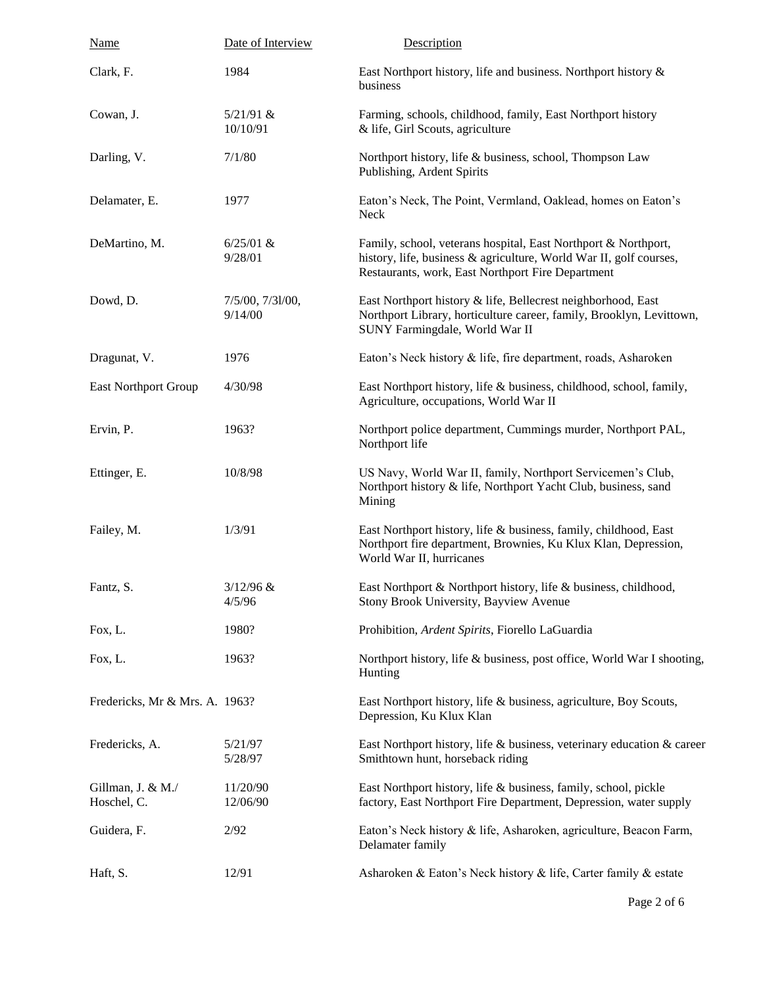| <b>Name</b>                      | Date of Interview           | Description                                                                                                                                                                               |
|----------------------------------|-----------------------------|-------------------------------------------------------------------------------------------------------------------------------------------------------------------------------------------|
| Clark, F.                        | 1984                        | East Northport history, life and business. Northport history &<br>business                                                                                                                |
| Cowan, J.                        | $5/21/91$ &<br>10/10/91     | Farming, schools, childhood, family, East Northport history<br>& life, Girl Scouts, agriculture                                                                                           |
| Darling, V.                      | 7/1/80                      | Northport history, life & business, school, Thompson Law<br>Publishing, Ardent Spirits                                                                                                    |
| Delamater, E.                    | 1977                        | Eaton's Neck, The Point, Vermland, Oaklead, homes on Eaton's<br>Neck                                                                                                                      |
| DeMartino, M.                    | $6/25/01$ &<br>9/28/01      | Family, school, veterans hospital, East Northport & Northport,<br>history, life, business & agriculture, World War II, golf courses,<br>Restaurants, work, East Northport Fire Department |
| Dowd, D.                         | 7/5/00, 7/31/00,<br>9/14/00 | East Northport history & life, Bellecrest neighborhood, East<br>Northport Library, horticulture career, family, Brooklyn, Levittown,<br>SUNY Farmingdale, World War II                    |
| Dragunat, V.                     | 1976                        | Eaton's Neck history & life, fire department, roads, Asharoken                                                                                                                            |
| <b>East Northport Group</b>      | 4/30/98                     | East Northport history, life & business, childhood, school, family,<br>Agriculture, occupations, World War II                                                                             |
| Ervin, P.                        | 1963?                       | Northport police department, Cummings murder, Northport PAL,<br>Northport life                                                                                                            |
| Ettinger, E.                     | 10/8/98                     | US Navy, World War II, family, Northport Servicemen's Club,<br>Northport history & life, Northport Yacht Club, business, sand<br>Mining                                                   |
| Failey, M.                       | 1/3/91                      | East Northport history, life & business, family, childhood, East<br>Northport fire department, Brownies, Ku Klux Klan, Depression,<br>World War II, hurricanes                            |
| Fantz, S.                        | $3/12/96$ &<br>4/5/96       | East Northport & Northport history, life & business, childhood,<br>Stony Brook University, Bayview Avenue                                                                                 |
| Fox, L.                          | 1980?                       | Prohibition, Ardent Spirits, Fiorello LaGuardia                                                                                                                                           |
| Fox, L.                          | 1963?                       | Northport history, life & business, post office, World War I shooting,<br>Hunting                                                                                                         |
| Fredericks, Mr & Mrs. A. 1963?   |                             | East Northport history, life & business, agriculture, Boy Scouts,<br>Depression, Ku Klux Klan                                                                                             |
| Fredericks, A.                   | 5/21/97<br>5/28/97          | East Northport history, life & business, veterinary education & career<br>Smithtown hunt, horseback riding                                                                                |
| Gillman, J. & M./<br>Hoschel, C. | 11/20/90<br>12/06/90        | East Northport history, life & business, family, school, pickle<br>factory, East Northport Fire Department, Depression, water supply                                                      |
| Guidera, F.                      | 2/92                        | Eaton's Neck history & life, Asharoken, agriculture, Beacon Farm,<br>Delamater family                                                                                                     |
| Haft, S.                         | 12/91                       | Asharoken & Eaton's Neck history & life, Carter family & estate                                                                                                                           |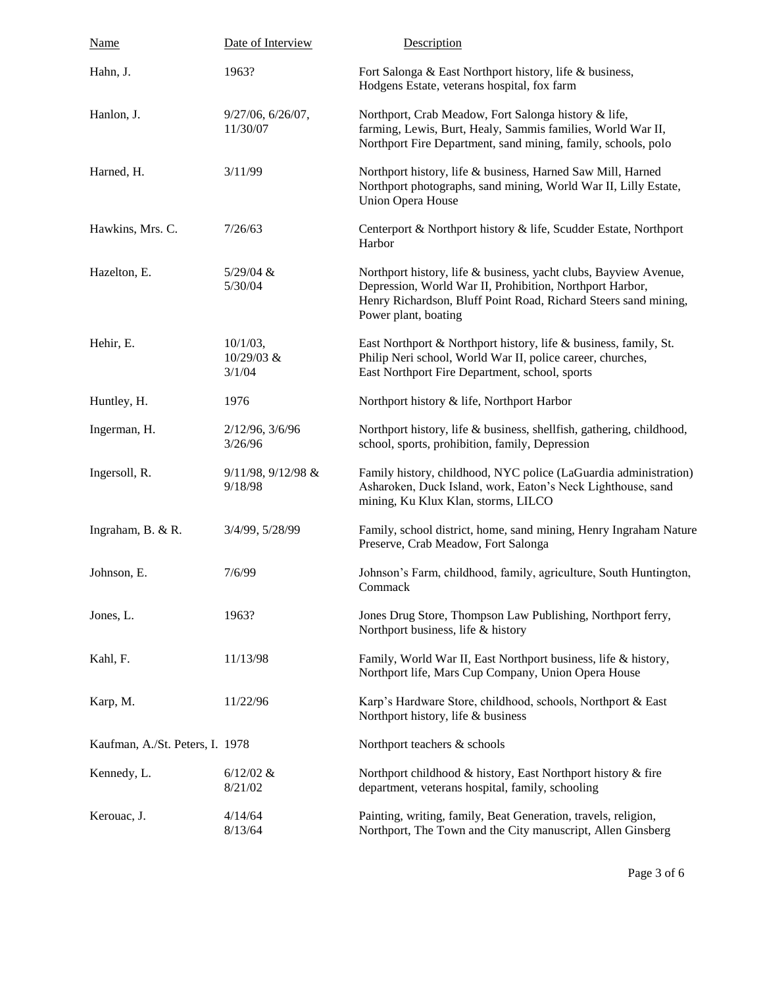| <b>Name</b>                     | Date of Interview                     | Description                                                                                                                                                                                                             |
|---------------------------------|---------------------------------------|-------------------------------------------------------------------------------------------------------------------------------------------------------------------------------------------------------------------------|
| Hahn, J.                        | 1963?                                 | Fort Salonga & East Northport history, life & business,<br>Hodgens Estate, veterans hospital, fox farm                                                                                                                  |
| Hanlon, J.                      | 9/27/06, 6/26/07,<br>11/30/07         | Northport, Crab Meadow, Fort Salonga history & life,<br>farming, Lewis, Burt, Healy, Sammis families, World War II,<br>Northport Fire Department, sand mining, family, schools, polo                                    |
| Harned, H.                      | 3/11/99                               | Northport history, life & business, Harned Saw Mill, Harned<br>Northport photographs, sand mining, World War II, Lilly Estate,<br><b>Union Opera House</b>                                                              |
| Hawkins, Mrs. C.                | 7/26/63                               | Centerport & Northport history & life, Scudder Estate, Northport<br>Harbor                                                                                                                                              |
| Hazelton, E.                    | $5/29/04$ &<br>5/30/04                | Northport history, life & business, yacht clubs, Bayview Avenue,<br>Depression, World War II, Prohibition, Northport Harbor,<br>Henry Richardson, Bluff Point Road, Richard Steers sand mining,<br>Power plant, boating |
| Hehir, E.                       | $10/1/03$ ,<br>$10/29/03$ &<br>3/1/04 | East Northport & Northport history, life & business, family, St.<br>Philip Neri school, World War II, police career, churches,<br>East Northport Fire Department, school, sports                                        |
| Huntley, H.                     | 1976                                  | Northport history & life, Northport Harbor                                                                                                                                                                              |
| Ingerman, H.                    | 2/12/96, 3/6/96<br>3/26/96            | Northport history, life & business, shellfish, gathering, childhood,<br>school, sports, prohibition, family, Depression                                                                                                 |
| Ingersoll, R.                   | 9/11/98, 9/12/98 &<br>9/18/98         | Family history, childhood, NYC police (LaGuardia administration)<br>Asharoken, Duck Island, work, Eaton's Neck Lighthouse, sand<br>mining, Ku Klux Klan, storms, LILCO                                                  |
| Ingraham, B. & R.               | 3/4/99, 5/28/99                       | Family, school district, home, sand mining, Henry Ingraham Nature<br>Preserve, Crab Meadow, Fort Salonga                                                                                                                |
| Johnson, E.                     | 7/6/99                                | Johnson's Farm, childhood, family, agriculture, South Huntington,<br>Commack                                                                                                                                            |
| Jones, L.                       | 1963?                                 | Jones Drug Store, Thompson Law Publishing, Northport ferry,<br>Northport business, life & history                                                                                                                       |
| Kahl, F.                        | 11/13/98                              | Family, World War II, East Northport business, life & history,<br>Northport life, Mars Cup Company, Union Opera House                                                                                                   |
| Karp, M.                        | 11/22/96                              | Karp's Hardware Store, childhood, schools, Northport & East<br>Northport history, life & business                                                                                                                       |
| Kaufman, A./St. Peters, I. 1978 |                                       | Northport teachers & schools                                                                                                                                                                                            |
| Kennedy, L.                     | $6/12/02 \&$<br>8/21/02               | Northport childhood & history, East Northport history & fire<br>department, veterans hospital, family, schooling                                                                                                        |
| Kerouac, J.                     | 4/14/64<br>8/13/64                    | Painting, writing, family, Beat Generation, travels, religion,<br>Northport, The Town and the City manuscript, Allen Ginsberg                                                                                           |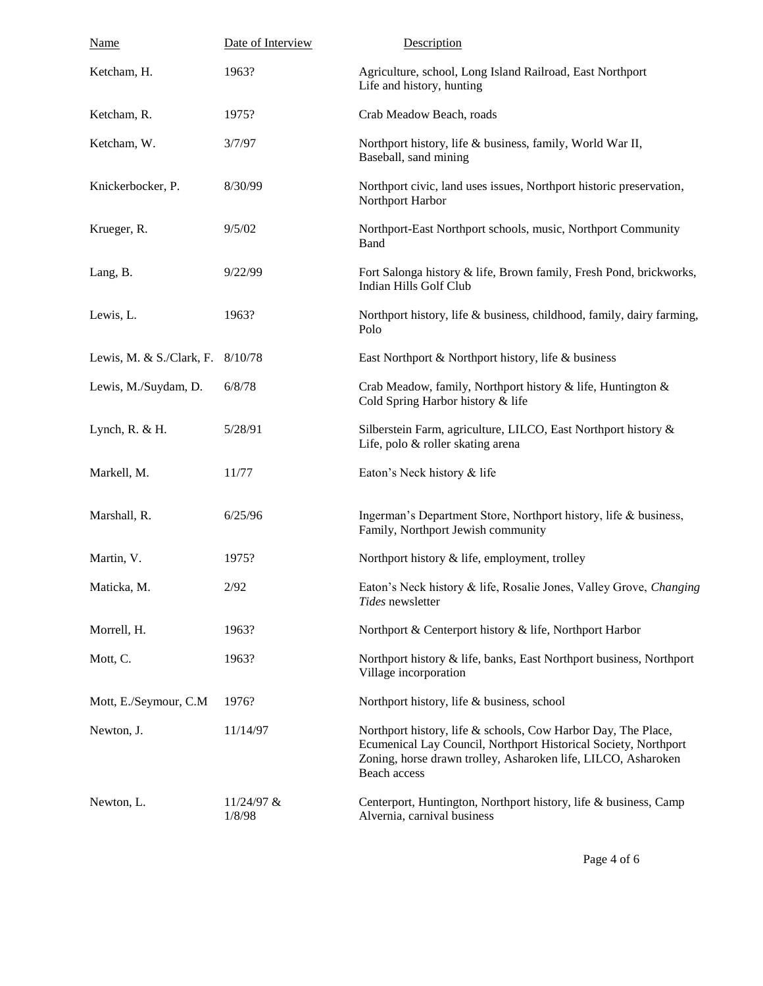| <b>Name</b>              | Date of Interview    | Description                                                                                                                                                                                                       |
|--------------------------|----------------------|-------------------------------------------------------------------------------------------------------------------------------------------------------------------------------------------------------------------|
| Ketcham, H.              | 1963?                | Agriculture, school, Long Island Railroad, East Northport<br>Life and history, hunting                                                                                                                            |
| Ketcham, R.              | 1975?                | Crab Meadow Beach, roads                                                                                                                                                                                          |
| Ketcham, W.              | 3/7/97               | Northport history, life & business, family, World War II,<br>Baseball, sand mining                                                                                                                                |
| Knickerbocker, P.        | 8/30/99              | Northport civic, land uses issues, Northport historic preservation,<br>Northport Harbor                                                                                                                           |
| Krueger, R.              | 9/5/02               | Northport-East Northport schools, music, Northport Community<br>Band                                                                                                                                              |
| Lang, B.                 | 9/22/99              | Fort Salonga history & life, Brown family, Fresh Pond, brickworks,<br>Indian Hills Golf Club                                                                                                                      |
| Lewis, L.                | 1963?                | Northport history, life & business, childhood, family, dairy farming,<br>Polo                                                                                                                                     |
| Lewis, M. & S./Clark, F. | 8/10/78              | East Northport & Northport history, life & business                                                                                                                                                               |
| Lewis, M./Suydam, D.     | 6/8/78               | Crab Meadow, family, Northport history & life, Huntington &<br>Cold Spring Harbor history & life                                                                                                                  |
| Lynch, $R. & H.$         | 5/28/91              | Silberstein Farm, agriculture, LILCO, East Northport history &<br>Life, polo & roller skating arena                                                                                                               |
| Markell, M.              | 11/77                | Eaton's Neck history & life                                                                                                                                                                                       |
| Marshall, R.             | 6/25/96              | Ingerman's Department Store, Northport history, life & business,<br>Family, Northport Jewish community                                                                                                            |
| Martin, V.               | 1975?                | Northport history & life, employment, trolley                                                                                                                                                                     |
| Maticka, M.              | 2/92                 | Eaton's Neck history & life, Rosalie Jones, Valley Grove, Changing<br>Tides newsletter                                                                                                                            |
| Morrell, H.              | 1963?                | Northport & Centerport history & life, Northport Harbor                                                                                                                                                           |
| Mott, C.                 | 1963?                | Northport history & life, banks, East Northport business, Northport<br>Village incorporation                                                                                                                      |
| Mott, E./Seymour, C.M    | 1976?                | Northport history, life & business, school                                                                                                                                                                        |
| Newton, J.               | 11/14/97             | Northport history, life & schools, Cow Harbor Day, The Place,<br>Ecumenical Lay Council, Northport Historical Society, Northport<br>Zoning, horse drawn trolley, Asharoken life, LILCO, Asharoken<br>Beach access |
| Newton, L.               | 11/24/97 &<br>1/8/98 | Centerport, Huntington, Northport history, life & business, Camp<br>Alvernia, carnival business                                                                                                                   |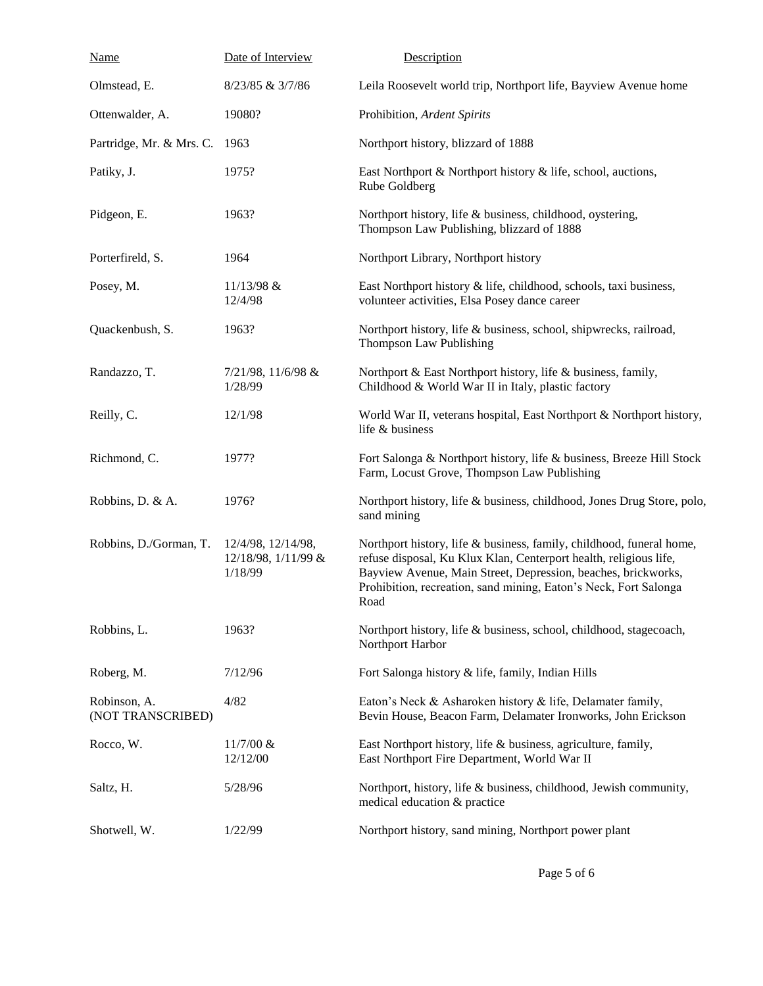| <b>Name</b>                       | Date of Interview                                    | Description                                                                                                                                                                                                                                                                            |
|-----------------------------------|------------------------------------------------------|----------------------------------------------------------------------------------------------------------------------------------------------------------------------------------------------------------------------------------------------------------------------------------------|
| Olmstead, E.                      | 8/23/85 & 3/7/86                                     | Leila Roosevelt world trip, Northport life, Bayview Avenue home                                                                                                                                                                                                                        |
| Ottenwalder, A.                   | 19080?                                               | Prohibition, Ardent Spirits                                                                                                                                                                                                                                                            |
| Partridge, Mr. & Mrs. C. 1963     |                                                      | Northport history, blizzard of 1888                                                                                                                                                                                                                                                    |
| Patiky, J.                        | 1975?                                                | East Northport & Northport history & life, school, auctions,<br>Rube Goldberg                                                                                                                                                                                                          |
| Pidgeon, E.                       | 1963?                                                | Northport history, life & business, childhood, oystering,<br>Thompson Law Publishing, blizzard of 1888                                                                                                                                                                                 |
| Porterfireld, S.                  | 1964                                                 | Northport Library, Northport history                                                                                                                                                                                                                                                   |
| Posey, M.                         | 11/13/98 &<br>12/4/98                                | East Northport history & life, childhood, schools, taxi business,<br>volunteer activities, Elsa Posey dance career                                                                                                                                                                     |
| Quackenbush, S.                   | 1963?                                                | Northport history, life & business, school, shipwrecks, railroad,<br>Thompson Law Publishing                                                                                                                                                                                           |
| Randazzo, T.                      | 7/21/98, 11/6/98 &<br>1/28/99                        | Northport & East Northport history, life & business, family,<br>Childhood & World War II in Italy, plastic factory                                                                                                                                                                     |
| Reilly, C.                        | 12/1/98                                              | World War II, veterans hospital, East Northport & Northport history,<br>life & business                                                                                                                                                                                                |
| Richmond, C.                      | 1977?                                                | Fort Salonga & Northport history, life & business, Breeze Hill Stock<br>Farm, Locust Grove, Thompson Law Publishing                                                                                                                                                                    |
| Robbins, D. & A.                  | 1976?                                                | Northport history, life & business, childhood, Jones Drug Store, polo,<br>sand mining                                                                                                                                                                                                  |
| Robbins, D./Gorman, T.            | 12/4/98, 12/14/98,<br>12/18/98, 1/11/99 &<br>1/18/99 | Northport history, life & business, family, childhood, funeral home,<br>refuse disposal, Ku Klux Klan, Centerport health, religious life,<br>Bayview Avenue, Main Street, Depression, beaches, brickworks,<br>Prohibition, recreation, sand mining, Eaton's Neck, Fort Salonga<br>Road |
| Robbins, L.                       | 1963?                                                | Northport history, life & business, school, childhood, stagecoach,<br>Northport Harbor                                                                                                                                                                                                 |
| Roberg, M.                        | 7/12/96                                              | Fort Salonga history & life, family, Indian Hills                                                                                                                                                                                                                                      |
| Robinson, A.<br>(NOT TRANSCRIBED) | 4/82                                                 | Eaton's Neck & Asharoken history & life, Delamater family,<br>Bevin House, Beacon Farm, Delamater Ironworks, John Erickson                                                                                                                                                             |
| Rocco, W.                         | $11/7/00 \&$<br>12/12/00                             | East Northport history, life & business, agriculture, family,<br>East Northport Fire Department, World War II                                                                                                                                                                          |
| Saltz, H.                         | 5/28/96                                              | Northport, history, life & business, childhood, Jewish community,<br>medical education & practice                                                                                                                                                                                      |
| Shotwell, W.                      | 1/22/99                                              | Northport history, sand mining, Northport power plant                                                                                                                                                                                                                                  |

Page 5 of 6